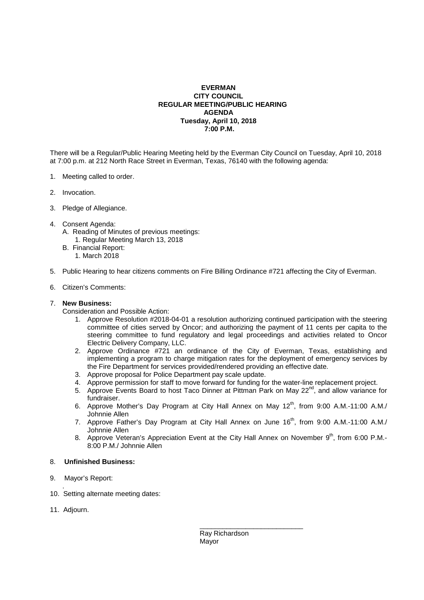## **EVERMAN CITY COUNCIL REGULAR MEETING/PUBLIC HEARING AGENDA Tuesday, April 10, 2018 7:00 P.M.**

There will be a Regular/Public Hearing Meeting held by the Everman City Council on Tuesday, April 10, 2018 at 7:00 p.m. at 212 North Race Street in Everman, Texas, 76140 with the following agenda:

- 1. Meeting called to order.
- 2. Invocation.
- 3. Pledge of Allegiance.
- 4. Consent Agenda: A. Reading of Minutes of previous meetings:
	- 1. Regular Meeting March 13, 2018
	- B. Financial Report: 1. March 2018
- 5. Public Hearing to hear citizens comments on Fire Billing Ordinance #721 affecting the City of Everman.
- 6. Citizen's Comments:

## 7. **New Business:**

Consideration and Possible Action:

- 1. Approve Resolution #2018-04-01 a resolution authorizing continued participation with the steering committee of cities served by Oncor; and authorizing the payment of 11 cents per capita to the steering committee to fund regulatory and legal proceedings and activities related to Oncor Electric Delivery Company, LLC.
- 2. Approve Ordinance #721 an ordinance of the City of Everman, Texas, establishing and implementing a program to charge mitigation rates for the deployment of emergency services by the Fire Department for services provided/rendered providing an effective date.
- 3. Approve proposal for Police Department pay scale update.

 $\frac{1}{\sqrt{2}}$  , and the set of the set of the set of the set of the set of the set of the set of the set of the set of the set of the set of the set of the set of the set of the set of the set of the set of the set of the

- 4. Approve permission for staff to move forward for funding for the water-line replacement project.
- 5. Approve Events Board to host Taco Dinner at Pittman Park on May 22<sup>nd</sup>, and allow variance for fundraiser.
- 6. Approve Mother's Day Program at City Hall Annex on May 12<sup>th</sup>, from 9:00 A.M.-11:00 A.M./ Johnnie Allen
- 7. Approve Father's Day Program at City Hall Annex on June 16<sup>th</sup>, from 9:00 A.M.-11:00 A.M./ Johnnie Allen
- 8. Approve Veteran's Appreciation Event at the City Hall Annex on November 9th, from 6:00 P.M.-8:00 P.M./ Johnnie Allen

## 8. **Unfinished Business:**

- 9. Mayor's Report:
- . 10. Setting alternate meeting dates:
- 11. Adjourn.